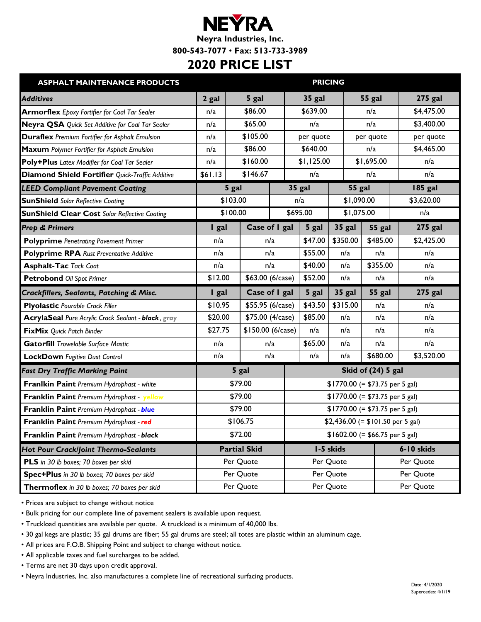## **NEYRA**

**Neyra Industries, Inc.**

**800-543-7077** • **Fax: 513-733-3989**

## **2020 PRICE LIST**

| <b>ASPHALT MAINTENANCE PRODUCTS</b>                    |         | <b>PRICING</b>      |          |            |                                   |                    |                |  |
|--------------------------------------------------------|---------|---------------------|----------|------------|-----------------------------------|--------------------|----------------|--|
| <b>Additives</b>                                       | 2 gal   | 5 gal               |          | 35 gal     |                                   | <b>55 gal</b>      | <b>275 gal</b> |  |
| <b>Armorflex</b> Epoxy Fortifier for Coal Tar Sealer   | n/a     | \$86.00             |          | \$639.00   |                                   | n/a                | \$4,475.00     |  |
| Neyra QSA Quick Set Additive for Coal Tar Sealer       | n/a     | \$65.00             |          | n/a        |                                   | n/a                | \$3,400.00     |  |
| <b>Duraflex</b> Premium Fortifier for Asphalt Emulsion | n/a     | \$105.00            |          | per quote  |                                   | per quote          | per quote      |  |
| Maxum Polymer Fortifier for Asphalt Emulsion           | n/a     | \$86.00             |          | \$640.00   |                                   | n/a                | \$4,465.00     |  |
| Poly+Plus Latex Modifier for Coal Tar Sealer           | n/a     | \$160.00            |          | \$1,125.00 |                                   | \$1,695.00         | n/a            |  |
| Diamond Shield Fortifier Quick-Traffic Additive        | \$61.13 | \$146.67            |          | n/a        | n/a                               |                    | n/a            |  |
| <b>LEED Compliant Pavement Coating</b>                 |         | 5 gal               |          | 35 gal     | 55 gal                            |                    | 185 gal        |  |
| <b>SunShield Solar Reflective Coating</b>              |         | \$103.00            |          | n/a        | \$1,090.00                        |                    | \$3,620.00     |  |
| <b>SunShield Clear Cost Solar Reflective Coating</b>   |         | \$100.00            | \$695.00 |            | \$1,075.00                        |                    | n/a            |  |
| <b>Prep &amp; Primers</b>                              | I gal   | Case of I gal       |          | 5 gal      | 35 gal                            | 55 gal             | <b>275 gal</b> |  |
| <b>Polyprime</b> Penetrating Pavement Primer           | n/a     | n/a                 |          | \$47.00    | \$350.00                          | \$485.00           | \$2,425.00     |  |
| <b>Polyprime RPA</b> Rust Preventative Additive        | n/a     | n/a                 |          | \$55.00    | n/a                               | n/a                | n/a            |  |
| <b>Asphalt-Tac Tack Coat</b>                           | n/a     | n/a                 |          | \$40.00    | n/a                               | \$355.00           | n/a            |  |
| Petrobond Oil Spot Primer                              | \$12.00 | \$63.00 (6/case)    |          | \$52.00    | n/a                               | n/a                | n/a            |  |
|                                                        |         |                     |          |            |                                   |                    |                |  |
| <b>Crackfillers, Sealants, Patching &amp; Misc.</b>    | I gal   | Case of I gal       |          | 5 gal      | 35 gal                            | 55 gal             | <b>275 gal</b> |  |
| <b>Plyolastic Pourable Crack Filler</b>                | \$10.95 | \$55.95 (6/case)    |          | \$43.50    | \$315.00                          | n/a                | n/a            |  |
| AcrylaSeal Pure Acrylic Crack Sealant - black, gray    | \$20.00 | \$75.00 (4/case)    |          | \$85.00    | n/a                               | n/a                | n/a            |  |
| FixMix Quick Patch Binder                              | \$27.75 | \$150.00 (6/case)   |          | n/a        | n/a                               | n/a                | n/a            |  |
| <b>Gatorfill Trowelable Surface Mastic</b>             | n/a     | n/a                 |          | \$65.00    | n/a                               | n/a                | n/a            |  |
| <b>LockDown</b> Fugitive Dust Control                  | n/a     |                     | n/a      | n/a        | n/a                               | \$680.00           | \$3,520.00     |  |
| <b>Fast Dry Traffic Marking Paint</b>                  |         | 5 gal               |          |            |                                   | Skid of (24) 5 gal |                |  |
| Franlkin Paint Premium Hydrophast - white              |         | \$79.00             |          |            | $$1770.00 (= $73.75 per 5 gal)$   |                    |                |  |
| Franklin Paint Premium Hydrophast - yellow             |         | \$79.00             |          |            | $$1770.00 (= $73.75 per 5 gal)$   |                    |                |  |
| Franklin Paint Premium Hydrophast - blue               |         | \$79.00             |          |            | $$1770.00 (= $73.75$ per 5 gal)   |                    |                |  |
| Franklin Paint Premium Hydrophast - red                |         | \$106.75            |          |            | $$2,436.00 (= $101.50 per 5 gal)$ |                    |                |  |
| Franklin Paint Premium Hydrophast - black              |         | \$72.00             |          |            | $$1602.00 (= $66.75 per 5 gal)$   |                    |                |  |
| Hot Pour Crack/Joint Thermo-Sealants                   |         | <b>Partial Skid</b> |          |            | I-5 skids                         |                    | 6-10 skids     |  |
| PLS in 30 lb boxes; 70 boxes per skid                  |         | Per Quote           |          |            | Per Quote                         |                    | Per Quote      |  |
| Spec+Plus in 30 lb boxes; 70 boxes per skid            |         | Per Quote           |          |            | Per Quote                         |                    | Per Quote      |  |

• Prices are subject to change without notice

• Bulk pricing for our complete line of pavement sealers is available upon request.

• Truckload quantities are available per quote. A truckload is a minimum of 40,000 lbs.

• 30 gal kegs are plastic; 35 gal drums are fiber; 55 gal drums are steel; all totes are plastic within an aluminum cage.

• All prices are F.O.B. Shipping Point and subject to change without notice.

• All applicable taxes and fuel surcharges to be added.

• Terms are net 30 days upon credit approval.

• Neyra Industries, Inc. also manufactures a complete line of recreational surfacing products.